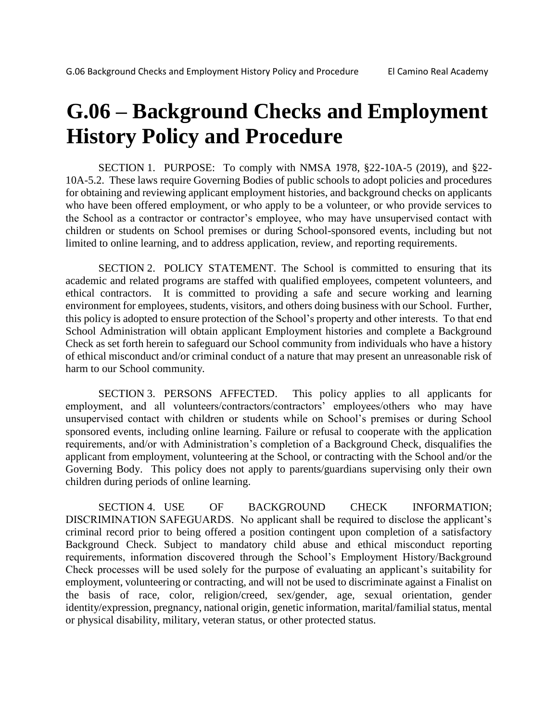# **G.06 – Background Checks and Employment History Policy and Procedure**

SECTION 1. PURPOSE: To comply with NMSA 1978, §22-10A-5 (2019), and §22- 10A-5.2. These laws require Governing Bodies of public schools to adopt policies and procedures for obtaining and reviewing applicant employment histories, and background checks on applicants who have been offered employment, or who apply to be a volunteer, or who provide services to the School as a contractor or contractor's employee, who may have unsupervised contact with children or students on School premises or during School-sponsored events, including but not limited to online learning, and to address application, review, and reporting requirements.

SECTION 2. POLICY STATEMENT. The School is committed to ensuring that its academic and related programs are staffed with qualified employees, competent volunteers, and ethical contractors. It is committed to providing a safe and secure working and learning environment for employees, students, visitors, and others doing business with our School. Further, this policy is adopted to ensure protection of the School's property and other interests. To that end School Administration will obtain applicant Employment histories and complete a Background Check as set forth herein to safeguard our School community from individuals who have a history of ethical misconduct and/or criminal conduct of a nature that may present an unreasonable risk of harm to our School community.

SECTION 3. PERSONS AFFECTED. This policy applies to all applicants for employment, and all volunteers/contractors/contractors' employees/others who may have unsupervised contact with children or students while on School's premises or during School sponsored events, including online learning. Failure or refusal to cooperate with the application requirements, and/or with Administration's completion of a Background Check, disqualifies the applicant from employment, volunteering at the School, or contracting with the School and/or the Governing Body. This policy does not apply to parents/guardians supervising only their own children during periods of online learning.

SECTION 4. USE OF BACKGROUND CHECK INFORMATION; DISCRIMINATION SAFEGUARDS. No applicant shall be required to disclose the applicant's criminal record prior to being offered a position contingent upon completion of a satisfactory Background Check. Subject to mandatory child abuse and ethical misconduct reporting requirements, information discovered through the School's Employment History/Background Check processes will be used solely for the purpose of evaluating an applicant's suitability for employment, volunteering or contracting, and will not be used to discriminate against a Finalist on the basis of race, color, religion/creed, sex/gender, age, sexual orientation, gender identity/expression, pregnancy, national origin, genetic information, marital/familial status, mental or physical disability, military, veteran status, or other protected status.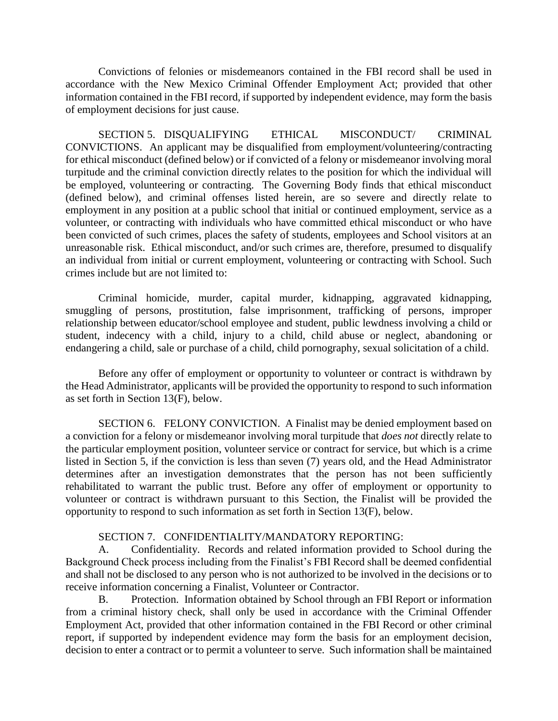Convictions of felonies or misdemeanors contained in the FBI record shall be used in accordance with the New Mexico Criminal Offender Employment Act; provided that other information contained in the FBI record, if supported by independent evidence, may form the basis of employment decisions for just cause.

SECTION 5. DISQUALIFYING ETHICAL MISCONDUCT/ CRIMINAL CONVICTIONS. An applicant may be disqualified from employment/volunteering/contracting for ethical misconduct (defined below) or if convicted of a felony or misdemeanor involving moral turpitude and the criminal conviction directly relates to the position for which the individual will be employed, volunteering or contracting. The Governing Body finds that ethical misconduct (defined below), and criminal offenses listed herein, are so severe and directly relate to employment in any position at a public school that initial or continued employment, service as a volunteer, or contracting with individuals who have committed ethical misconduct or who have been convicted of such crimes, places the safety of students, employees and School visitors at an unreasonable risk. Ethical misconduct, and/or such crimes are, therefore, presumed to disqualify an individual from initial or current employment, volunteering or contracting with School. Such crimes include but are not limited to:

Criminal homicide, murder, capital murder, kidnapping, aggravated kidnapping, smuggling of persons, prostitution, false imprisonment, trafficking of persons, improper relationship between educator/school employee and student, public lewdness involving a child or student, indecency with a child, injury to a child, child abuse or neglect, abandoning or endangering a child, sale or purchase of a child, child pornography, sexual solicitation of a child.

Before any offer of employment or opportunity to volunteer or contract is withdrawn by the Head Administrator, applicants will be provided the opportunity to respond to such information as set forth in Section 13(F), below.

SECTION 6. FELONY CONVICTION. A Finalist may be denied employment based on a conviction for a felony or misdemeanor involving moral turpitude that *does not* directly relate to the particular employment position, volunteer service or contract for service, but which is a crime listed in Section 5, if the conviction is less than seven (7) years old, and the Head Administrator determines after an investigation demonstrates that the person has not been sufficiently rehabilitated to warrant the public trust. Before any offer of employment or opportunity to volunteer or contract is withdrawn pursuant to this Section, the Finalist will be provided the opportunity to respond to such information as set forth in Section 13(F), below.

## SECTION 7. CONFIDENTIALITY/MANDATORY REPORTING:

A. Confidentiality. Records and related information provided to School during the Background Check process including from the Finalist's FBI Record shall be deemed confidential and shall not be disclosed to any person who is not authorized to be involved in the decisions or to receive information concerning a Finalist, Volunteer or Contractor.

B. Protection. Information obtained by School through an FBI Report or information from a criminal history check, shall only be used in accordance with the Criminal Offender Employment Act, provided that other information contained in the FBI Record or other criminal report, if supported by independent evidence may form the basis for an employment decision, decision to enter a contract or to permit a volunteer to serve. Such information shall be maintained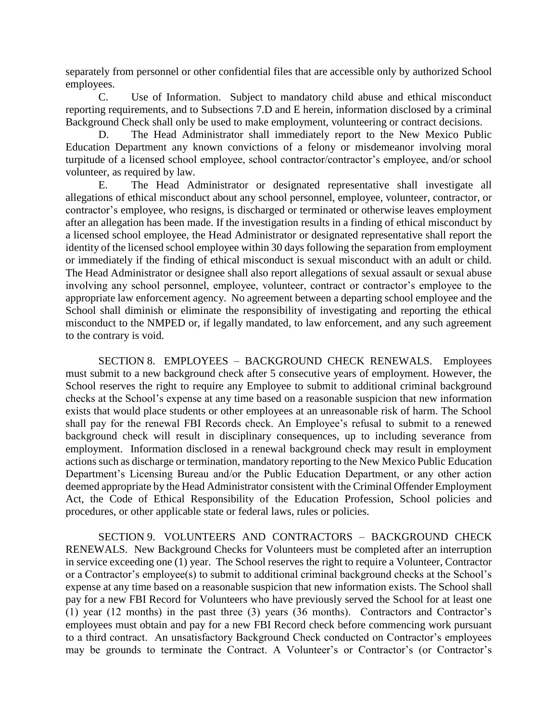separately from personnel or other confidential files that are accessible only by authorized School employees.

C. Use of Information. Subject to mandatory child abuse and ethical misconduct reporting requirements, and to Subsections 7.D and E herein, information disclosed by a criminal Background Check shall only be used to make employment, volunteering or contract decisions.

D. The Head Administrator shall immediately report to the New Mexico Public Education Department any known convictions of a felony or misdemeanor involving moral turpitude of a licensed school employee, school contractor/contractor's employee, and/or school volunteer, as required by law.

E. The Head Administrator or designated representative shall investigate all allegations of ethical misconduct about any school personnel, employee, volunteer, contractor, or contractor's employee, who resigns, is discharged or terminated or otherwise leaves employment after an allegation has been made. If the investigation results in a finding of ethical misconduct by a licensed school employee, the Head Administrator or designated representative shall report the identity of the licensed school employee within 30 days following the separation from employment or immediately if the finding of ethical misconduct is sexual misconduct with an adult or child. The Head Administrator or designee shall also report allegations of sexual assault or sexual abuse involving any school personnel, employee, volunteer, contract or contractor's employee to the appropriate law enforcement agency. No agreement between a departing school employee and the School shall diminish or eliminate the responsibility of investigating and reporting the ethical misconduct to the NMPED or, if legally mandated, to law enforcement, and any such agreement to the contrary is void.

SECTION 8. EMPLOYEES – BACKGROUND CHECK RENEWALS. Employees must submit to a new background check after 5 consecutive years of employment. However, the School reserves the right to require any Employee to submit to additional criminal background checks at the School's expense at any time based on a reasonable suspicion that new information exists that would place students or other employees at an unreasonable risk of harm. The School shall pay for the renewal FBI Records check. An Employee's refusal to submit to a renewed background check will result in disciplinary consequences, up to including severance from employment. Information disclosed in a renewal background check may result in employment actions such as discharge or termination, mandatory reporting to the New Mexico Public Education Department's Licensing Bureau and/or the Public Education Department, or any other action deemed appropriate by the Head Administrator consistent with the Criminal Offender Employment Act, the Code of Ethical Responsibility of the Education Profession, School policies and procedures, or other applicable state or federal laws, rules or policies.

SECTION 9. VOLUNTEERS AND CONTRACTORS – BACKGROUND CHECK RENEWALS. New Background Checks for Volunteers must be completed after an interruption in service exceeding one (1) year. The School reserves the right to require a Volunteer, Contractor or a Contractor's employee(s) to submit to additional criminal background checks at the School's expense at any time based on a reasonable suspicion that new information exists. The School shall pay for a new FBI Record for Volunteers who have previously served the School for at least one (1) year (12 months) in the past three (3) years (36 months). Contractors and Contractor's employees must obtain and pay for a new FBI Record check before commencing work pursuant to a third contract. An unsatisfactory Background Check conducted on Contractor's employees may be grounds to terminate the Contract. A Volunteer's or Contractor's (or Contractor's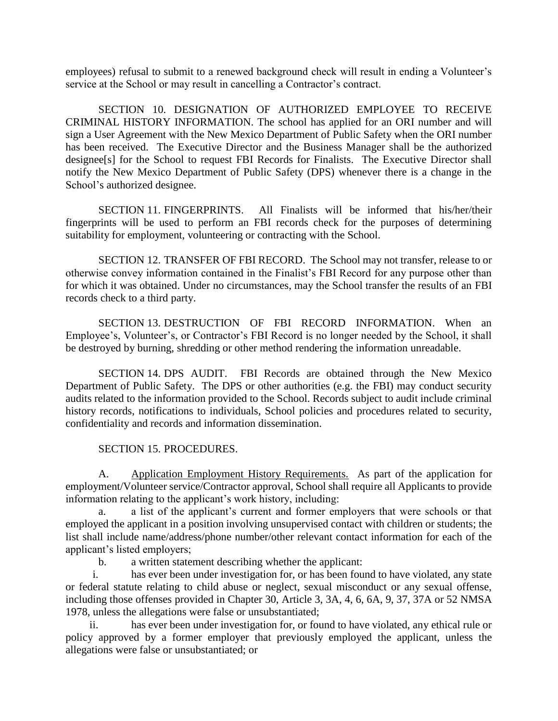employees) refusal to submit to a renewed background check will result in ending a Volunteer's service at the School or may result in cancelling a Contractor's contract.

SECTION 10. DESIGNATION OF AUTHORIZED EMPLOYEE TO RECEIVE CRIMINAL HISTORY INFORMATION. The school has applied for an ORI number and will sign a User Agreement with the New Mexico Department of Public Safety when the ORI number has been received. The Executive Director and the Business Manager shall be the authorized designee[s] for the School to request FBI Records for Finalists. The Executive Director shall notify the New Mexico Department of Public Safety (DPS) whenever there is a change in the School's authorized designee.

SECTION 11. FINGERPRINTS. All Finalists will be informed that his/her/their fingerprints will be used to perform an FBI records check for the purposes of determining suitability for employment, volunteering or contracting with the School.

SECTION 12. TRANSFER OF FBI RECORD. The School may not transfer, release to or otherwise convey information contained in the Finalist's FBI Record for any purpose other than for which it was obtained. Under no circumstances, may the School transfer the results of an FBI records check to a third party.

SECTION 13. DESTRUCTION OF FBI RECORD INFORMATION. When an Employee's, Volunteer's, or Contractor's FBI Record is no longer needed by the School, it shall be destroyed by burning, shredding or other method rendering the information unreadable.

SECTION 14. DPS AUDIT. FBI Records are obtained through the New Mexico Department of Public Safety. The DPS or other authorities (e.g. the FBI) may conduct security audits related to the information provided to the School. Records subject to audit include criminal history records, notifications to individuals, School policies and procedures related to security, confidentiality and records and information dissemination.

### SECTION 15. PROCEDURES.

A. Application Employment History Requirements. As part of the application for employment/Volunteer service/Contractor approval, School shall require all Applicants to provide information relating to the applicant's work history, including:

a. a list of the applicant's current and former employers that were schools or that employed the applicant in a position involving unsupervised contact with children or students; the list shall include name/address/phone number/other relevant contact information for each of the applicant's listed employers;

b. a written statement describing whether the applicant:

i. has ever been under investigation for, or has been found to have violated, any state or federal statute relating to child abuse or neglect, sexual misconduct or any sexual offense, including those offenses provided in Chapter 30, Article 3, 3A, 4, 6, 6A, 9, 37, 37A or 52 NMSA 1978, unless the allegations were false or unsubstantiated;

ii. has ever been under investigation for, or found to have violated, any ethical rule or policy approved by a former employer that previously employed the applicant, unless the allegations were false or unsubstantiated; or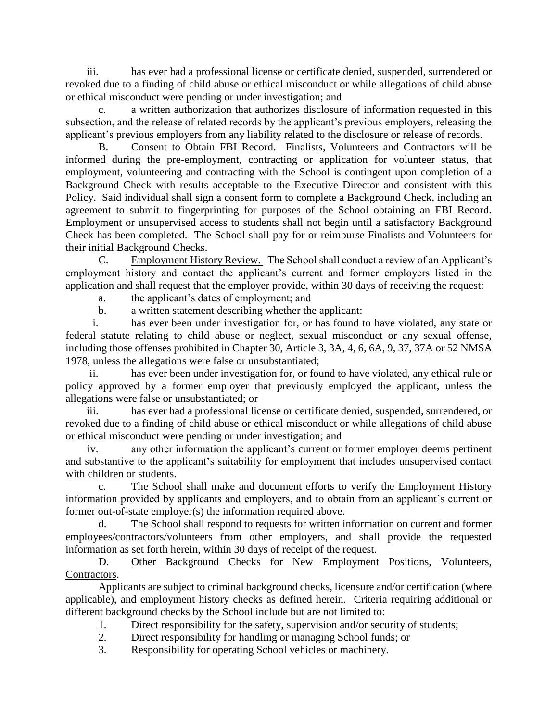iii. has ever had a professional license or certificate denied, suspended, surrendered or revoked due to a finding of child abuse or ethical misconduct or while allegations of child abuse or ethical misconduct were pending or under investigation; and

a written authorization that authorizes disclosure of information requested in this subsection, and the release of related records by the applicant's previous employers, releasing the applicant's previous employers from any liability related to the disclosure or release of records.

B. Consent to Obtain FBI Record. Finalists, Volunteers and Contractors will be informed during the pre-employment, contracting or application for volunteer status, that employment, volunteering and contracting with the School is contingent upon completion of a Background Check with results acceptable to the Executive Director and consistent with this Policy. Said individual shall sign a consent form to complete a Background Check, including an agreement to submit to fingerprinting for purposes of the School obtaining an FBI Record. Employment or unsupervised access to students shall not begin until a satisfactory Background Check has been completed. The School shall pay for or reimburse Finalists and Volunteers for their initial Background Checks.

C. Employment History Review. The School shall conduct a review of an Applicant's employment history and contact the applicant's current and former employers listed in the application and shall request that the employer provide, within 30 days of receiving the request:

a. the applicant's dates of employment; and

b. a written statement describing whether the applicant:

i. has ever been under investigation for, or has found to have violated, any state or federal statute relating to child abuse or neglect, sexual misconduct or any sexual offense, including those offenses prohibited in Chapter 30, Article 3, 3A, 4, 6, 6A, 9, 37, 37A or 52 NMSA 1978, unless the allegations were false or unsubstantiated;

ii. has ever been under investigation for, or found to have violated, any ethical rule or policy approved by a former employer that previously employed the applicant, unless the allegations were false or unsubstantiated; or

iii. has ever had a professional license or certificate denied, suspended, surrendered, or revoked due to a finding of child abuse or ethical misconduct or while allegations of child abuse or ethical misconduct were pending or under investigation; and

iv. any other information the applicant's current or former employer deems pertinent and substantive to the applicant's suitability for employment that includes unsupervised contact with children or students.

c. The School shall make and document efforts to verify the Employment History information provided by applicants and employers, and to obtain from an applicant's current or former out-of-state employer(s) the information required above.

d. The School shall respond to requests for written information on current and former employees/contractors/volunteers from other employers, and shall provide the requested information as set forth herein, within 30 days of receipt of the request.

D. Other Background Checks for New Employment Positions, Volunteers, Contractors.

Applicants are subject to criminal background checks, licensure and/or certification (where applicable), and employment history checks as defined herein. Criteria requiring additional or different background checks by the School include but are not limited to:

- 1. Direct responsibility for the safety, supervision and/or security of students;
- 2. Direct responsibility for handling or managing School funds; or
- 3. Responsibility for operating School vehicles or machinery.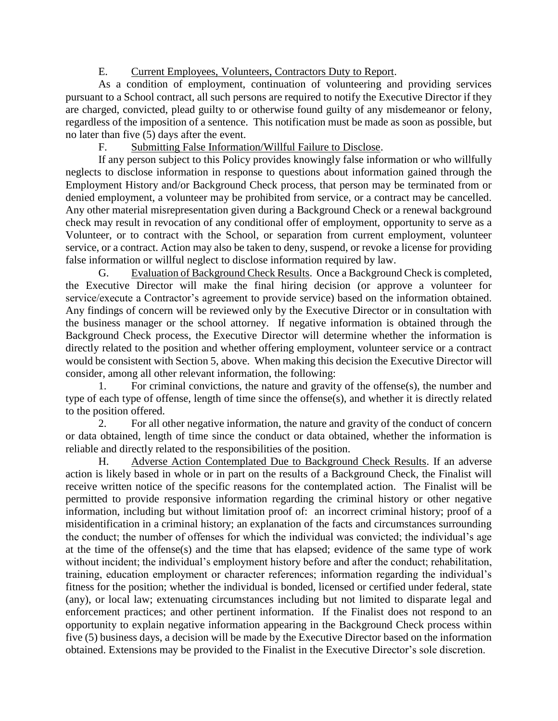# E. Current Employees, Volunteers, Contractors Duty to Report.

As a condition of employment, continuation of volunteering and providing services pursuant to a School contract, all such persons are required to notify the Executive Director if they are charged, convicted, plead guilty to or otherwise found guilty of any misdemeanor or felony, regardless of the imposition of a sentence. This notification must be made as soon as possible, but no later than five (5) days after the event.

F. Submitting False Information/Willful Failure to Disclose.

If any person subject to this Policy provides knowingly false information or who willfully neglects to disclose information in response to questions about information gained through the Employment History and/or Background Check process, that person may be terminated from or denied employment, a volunteer may be prohibited from service, or a contract may be cancelled. Any other material misrepresentation given during a Background Check or a renewal background check may result in revocation of any conditional offer of employment, opportunity to serve as a Volunteer, or to contract with the School, or separation from current employment, volunteer service, or a contract. Action may also be taken to deny, suspend, or revoke a license for providing false information or willful neglect to disclose information required by law.

G. Evaluation of Background Check Results. Once a Background Check is completed, the Executive Director will make the final hiring decision (or approve a volunteer for service/execute a Contractor's agreement to provide service) based on the information obtained. Any findings of concern will be reviewed only by the Executive Director or in consultation with the business manager or the school attorney. If negative information is obtained through the Background Check process, the Executive Director will determine whether the information is directly related to the position and whether offering employment, volunteer service or a contract would be consistent with Section 5, above. When making this decision the Executive Director will consider, among all other relevant information, the following:

1. For criminal convictions, the nature and gravity of the offense(s), the number and type of each type of offense, length of time since the offense(s), and whether it is directly related to the position offered.

2. For all other negative information, the nature and gravity of the conduct of concern or data obtained, length of time since the conduct or data obtained, whether the information is reliable and directly related to the responsibilities of the position.

H. Adverse Action Contemplated Due to Background Check Results. If an adverse action is likely based in whole or in part on the results of a Background Check, the Finalist will receive written notice of the specific reasons for the contemplated action. The Finalist will be permitted to provide responsive information regarding the criminal history or other negative information, including but without limitation proof of: an incorrect criminal history; proof of a misidentification in a criminal history; an explanation of the facts and circumstances surrounding the conduct; the number of offenses for which the individual was convicted; the individual's age at the time of the offense(s) and the time that has elapsed; evidence of the same type of work without incident; the individual's employment history before and after the conduct; rehabilitation, training, education employment or character references; information regarding the individual's fitness for the position; whether the individual is bonded, licensed or certified under federal, state (any), or local law; extenuating circumstances including but not limited to disparate legal and enforcement practices; and other pertinent information. If the Finalist does not respond to an opportunity to explain negative information appearing in the Background Check process within five (5) business days, a decision will be made by the Executive Director based on the information obtained. Extensions may be provided to the Finalist in the Executive Director's sole discretion.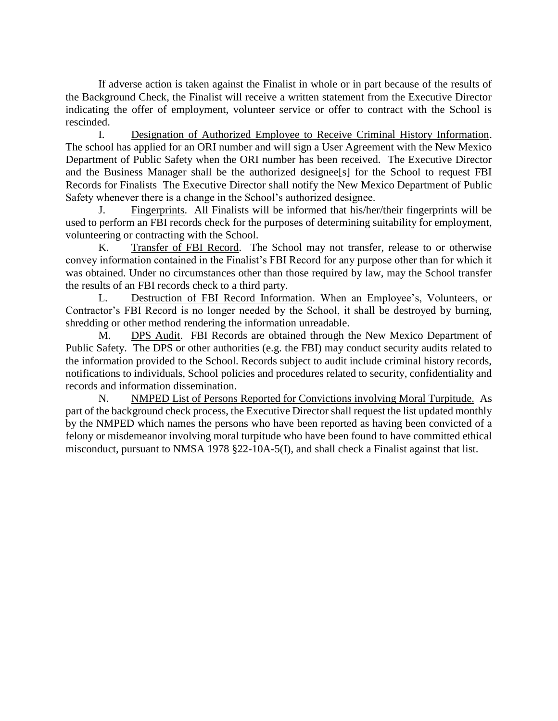If adverse action is taken against the Finalist in whole or in part because of the results of the Background Check, the Finalist will receive a written statement from the Executive Director indicating the offer of employment, volunteer service or offer to contract with the School is rescinded.

I. Designation of Authorized Employee to Receive Criminal History Information. The school has applied for an ORI number and will sign a User Agreement with the New Mexico Department of Public Safety when the ORI number has been received. The Executive Director and the Business Manager shall be the authorized designee[s] for the School to request FBI Records for Finalists The Executive Director shall notify the New Mexico Department of Public Safety whenever there is a change in the School's authorized designee.

J. Fingerprints. All Finalists will be informed that his/her/their fingerprints will be used to perform an FBI records check for the purposes of determining suitability for employment, volunteering or contracting with the School.

K. Transfer of FBI Record. The School may not transfer, release to or otherwise convey information contained in the Finalist's FBI Record for any purpose other than for which it was obtained. Under no circumstances other than those required by law, may the School transfer the results of an FBI records check to a third party.

L. Destruction of FBI Record Information. When an Employee's, Volunteers, or Contractor's FBI Record is no longer needed by the School, it shall be destroyed by burning, shredding or other method rendering the information unreadable.

M. DPS Audit. FBI Records are obtained through the New Mexico Department of Public Safety. The DPS or other authorities (e.g. the FBI) may conduct security audits related to the information provided to the School. Records subject to audit include criminal history records, notifications to individuals, School policies and procedures related to security, confidentiality and records and information dissemination.

N. NMPED List of Persons Reported for Convictions involving Moral Turpitude. As part of the background check process, the Executive Director shall request the list updated monthly by the NMPED which names the persons who have been reported as having been convicted of a felony or misdemeanor involving moral turpitude who have been found to have committed ethical misconduct, pursuant to NMSA 1978 §22-10A-5(I), and shall check a Finalist against that list.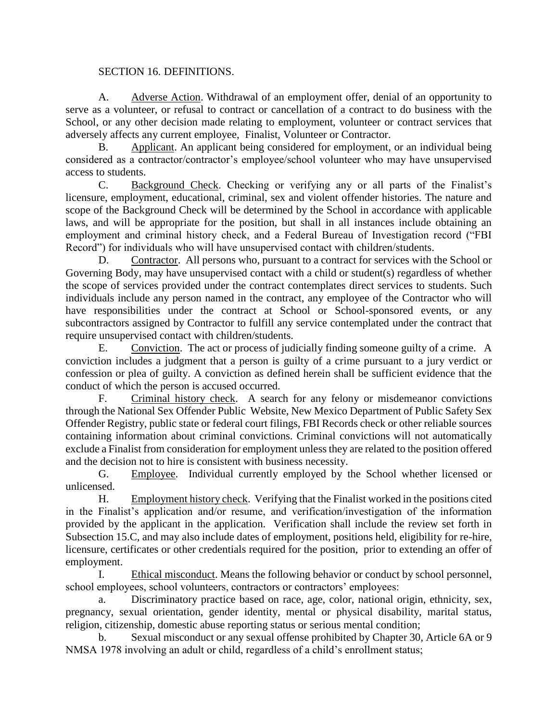## SECTION 16. DEFINITIONS.

A. Adverse Action. Withdrawal of an employment offer, denial of an opportunity to serve as a volunteer, or refusal to contract or cancellation of a contract to do business with the School, or any other decision made relating to employment, volunteer or contract services that adversely affects any current employee, Finalist, Volunteer or Contractor.

B. Applicant. An applicant being considered for employment, or an individual being considered as a contractor/contractor's employee/school volunteer who may have unsupervised access to students.

C. Background Check. Checking or verifying any or all parts of the Finalist's licensure, employment, educational, criminal, sex and violent offender histories. The nature and scope of the Background Check will be determined by the School in accordance with applicable laws, and will be appropriate for the position, but shall in all instances include obtaining an employment and criminal history check, and a Federal Bureau of Investigation record ("FBI Record") for individuals who will have unsupervised contact with children/students.

D. Contractor. All persons who, pursuant to a contract for services with the School or Governing Body, may have unsupervised contact with a child or student(s) regardless of whether the scope of services provided under the contract contemplates direct services to students. Such individuals include any person named in the contract, any employee of the Contractor who will have responsibilities under the contract at School or School-sponsored events, or any subcontractors assigned by Contractor to fulfill any service contemplated under the contract that require unsupervised contact with children/students.

E. Conviction. The act or process of judicially finding someone guilty of a crime. A conviction includes a judgment that a person is guilty of a crime pursuant to a jury verdict or confession or plea of guilty. A conviction as defined herein shall be sufficient evidence that the conduct of which the person is accused occurred.

F. Criminal history check. A search for any felony or misdemeanor convictions through the National Sex Offender Public Website, New Mexico Department of Public Safety Sex Offender Registry, public state or federal court filings, FBI Records check or other reliable sources containing information about criminal convictions. Criminal convictions will not automatically exclude a Finalist from consideration for employment unless they are related to the position offered and the decision not to hire is consistent with business necessity.

G. Employee. Individual currently employed by the School whether licensed or unlicensed.

H. Employment history check. Verifying that the Finalist worked in the positions cited in the Finalist's application and/or resume, and verification/investigation of the information provided by the applicant in the application. Verification shall include the review set forth in Subsection 15.C, and may also include dates of employment, positions held, eligibility for re-hire, licensure, certificates or other credentials required for the position, prior to extending an offer of employment.

I. Ethical misconduct. Means the following behavior or conduct by school personnel, school employees, school volunteers, contractors or contractors' employees:

a. Discriminatory practice based on race, age, color, national origin, ethnicity, sex, pregnancy, sexual orientation, gender identity, mental or physical disability, marital status, religion, citizenship, domestic abuse reporting status or serious mental condition;

b. Sexual misconduct or any sexual offense prohibited by Chapter 30, Article 6A or 9 NMSA 1978 involving an adult or child, regardless of a child's enrollment status;